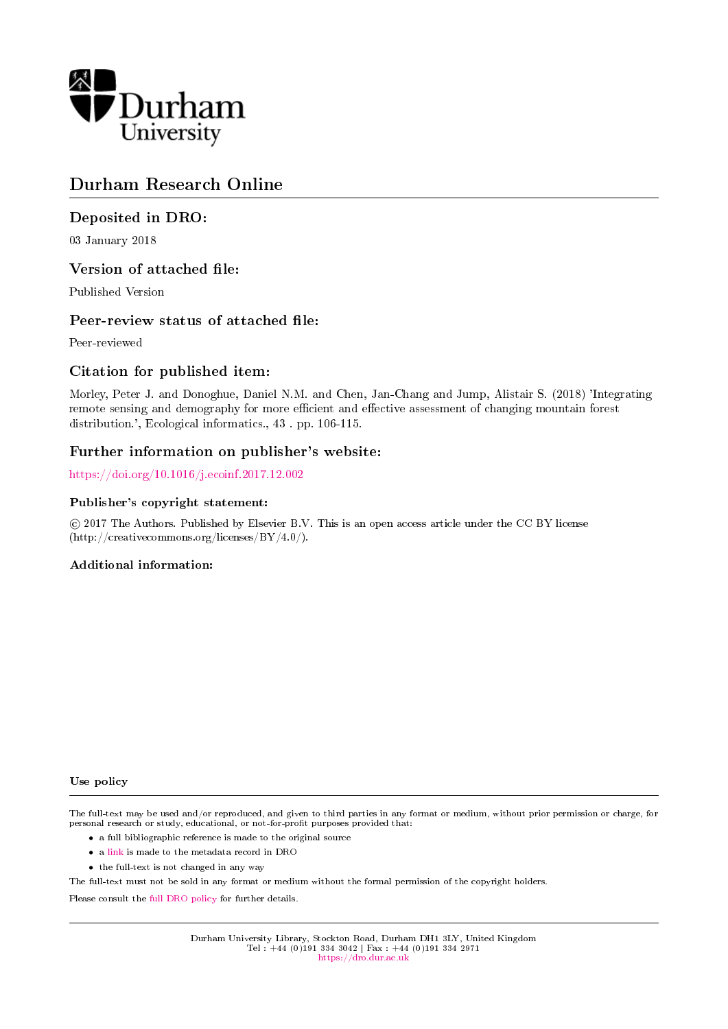

# Durham Research Online

# Deposited in DRO:

03 January 2018

# Version of attached file:

Published Version

# Peer-review status of attached file:

Peer-reviewed

# Citation for published item:

Morley, Peter J. and Donoghue, Daniel N.M. and Chen, Jan-Chang and Jump, Alistair S. (2018) 'Integrating remote sensing and demography for more efficient and effective assessment of changing mountain forest distribution.', Ecological informatics., 43 . pp. 106-115.

# Further information on publisher's website:

<https://doi.org/10.1016/j.ecoinf.2017.12.002>

# Publisher's copyright statement:

 c 2017 The Authors. Published by Elsevier B.V. This is an open access article under the CC BY license (http://creativecommons.org/licenses/BY/4.0/).

# Additional information:

Use policy

The full-text may be used and/or reproduced, and given to third parties in any format or medium, without prior permission or charge, for personal research or study, educational, or not-for-profit purposes provided that:

- a full bibliographic reference is made to the original source
- a [link](http://dro.dur.ac.uk/23781/) is made to the metadata record in DRO
- the full-text is not changed in any way

The full-text must not be sold in any format or medium without the formal permission of the copyright holders.

Please consult the [full DRO policy](https://dro.dur.ac.uk/policies/usepolicy.pdf) for further details.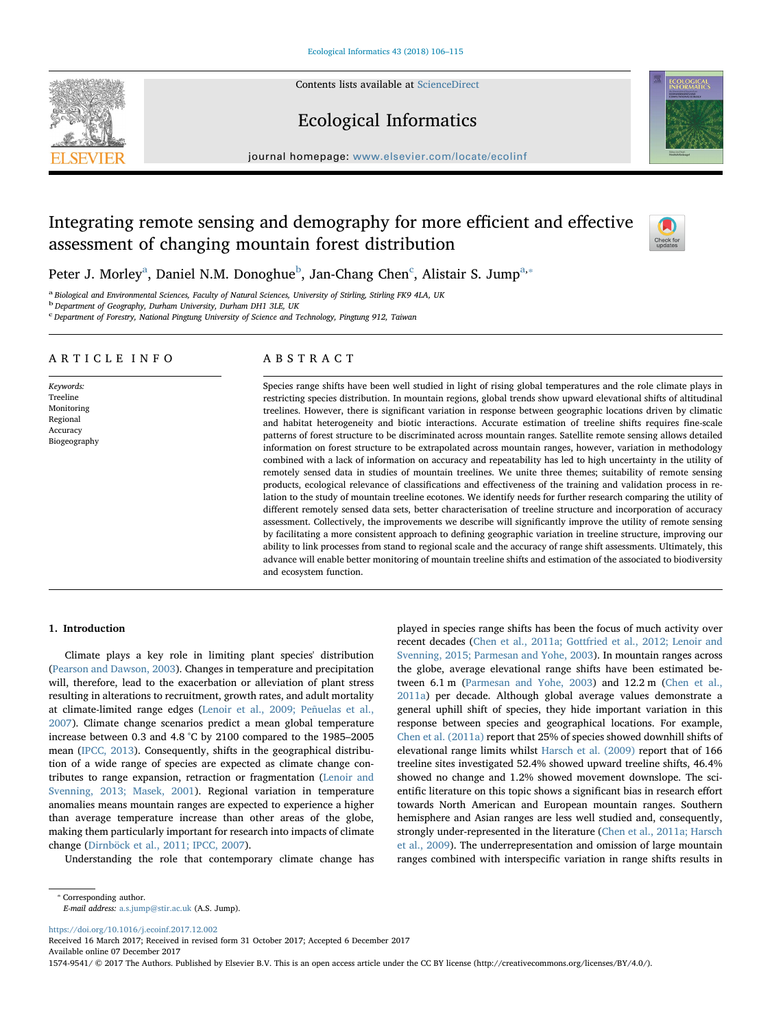Contents lists available at [ScienceDirect](http://www.sciencedirect.com/science/journal/15749541)





journal homepage: [www.elsevier.com/locate/ecolinf](https://www.elsevier.com/locate/ecolinf)



# Integrating remote sensing and demography for more efficient and effective assessment of changing mountain forest distribution



Peter J. Morley<sup>a</sup>, Daniel N.M. Donoghue<sup>b</sup>, Jan-Chang Chen<sup>c</sup>, Alistair S. Jump<sup>a,</sup>\*

<sup>a</sup> Biological and Environmental Sciences, Faculty of Natural Sciences, University of Stirling, Stirling FK9 4LA, UK

<sup>b</sup> Department of Geography, Durham University, Durham DH1 3LE, UK

c Department of Forestry, National Pingtung University of Science and Technology, Pingtung 912, Taiwan

## ARTICLE INFO

Keywords: Treeline Monitoring Regional Accuracy Biogeography

## ABSTRACT

Species range shifts have been well studied in light of rising global temperatures and the role climate plays in restricting species distribution. In mountain regions, global trends show upward elevational shifts of altitudinal treelines. However, there is significant variation in response between geographic locations driven by climatic and habitat heterogeneity and biotic interactions. Accurate estimation of treeline shifts requires fine-scale patterns of forest structure to be discriminated across mountain ranges. Satellite remote sensing allows detailed information on forest structure to be extrapolated across mountain ranges, however, variation in methodology combined with a lack of information on accuracy and repeatability has led to high uncertainty in the utility of remotely sensed data in studies of mountain treelines. We unite three themes; suitability of remote sensing products, ecological relevance of classifications and effectiveness of the training and validation process in relation to the study of mountain treeline ecotones. We identify needs for further research comparing the utility of different remotely sensed data sets, better characterisation of treeline structure and incorporation of accuracy assessment. Collectively, the improvements we describe will significantly improve the utility of remote sensing by facilitating a more consistent approach to defining geographic variation in treeline structure, improving our ability to link processes from stand to regional scale and the accuracy of range shift assessments. Ultimately, this advance will enable better monitoring of mountain treeline shifts and estimation of the associated to biodiversity and ecosystem function.

### 1. Introduction

Climate plays a key role in limiting plant species' distribution (Pearson and Dawson, 2003). Changes in temperature and precipitation will, therefore, lead to the exacerbation or alleviation of plant stress resulting in alterations to recruitment, growth rates, and adult mortality at climate-limited range edges (Lenoir et al., 2009; Peñuelas et al., 2007). Climate change scenarios predict a mean global temperature increase between 0.3 and 4.8 °C by 2100 compared to the 1985–2005 mean (IPCC, 2013). Consequently, shifts in the geographical distribution of a wide range of species are expected as climate change contributes to range expansion, retraction or fragmentation (Lenoir and Svenning, 2013; Masek, 2001). Regional variation in temperature anomalies means mountain ranges are expected to experience a higher than average temperature increase than other areas of the globe, making them particularly important for research into impacts of climate change (Dirnböck et al., 2011; IPCC, 2007).

Understanding the role that contemporary climate change has

played in species range shifts has been the focus of much activity over recent decades (Chen et al., 2011a; Gottfried et al., 2012; Lenoir and Svenning, 2015; Parmesan and Yohe, 2003). In mountain ranges across the globe, average elevational range shifts have been estimated between 6.1 m (Parmesan and Yohe, 2003) and 12.2 m (Chen et al., 2011a) per decade. Although global average values demonstrate a general uphill shift of species, they hide important variation in this response between species and geographical locations. For example, Chen et al. (2011a) report that 25% of species showed downhill shifts of elevational range limits whilst Harsch et al. (2009) report that of 166 treeline sites investigated 52.4% showed upward treeline shifts, 46.4% showed no change and 1.2% showed movement downslope. The scientific literature on this topic shows a significant bias in research effort towards North American and European mountain ranges. Southern hemisphere and Asian ranges are less well studied and, consequently, strongly under-represented in the literature (Chen et al., 2011a; Harsch et al., 2009). The underrepresentation and omission of large mountain ranges combined with interspecific variation in range shifts results in

<https://doi.org/10.1016/j.ecoinf.2017.12.002>

Received 16 March 2017; Received in revised form 31 October 2017; Accepted 6 December 2017

Available online 07 December 2017

1574-9541/ © 2017 The Authors. Published by Elsevier B.V. This is an open access article under the CC BY license (http://creativecommons.org/licenses/BY/4.0/).

<sup>⁎</sup> Corresponding author. E-mail address: [a.s.jump@stir.ac.uk](mailto:a.s.jump@stir.ac.uk) (A.S. Jump).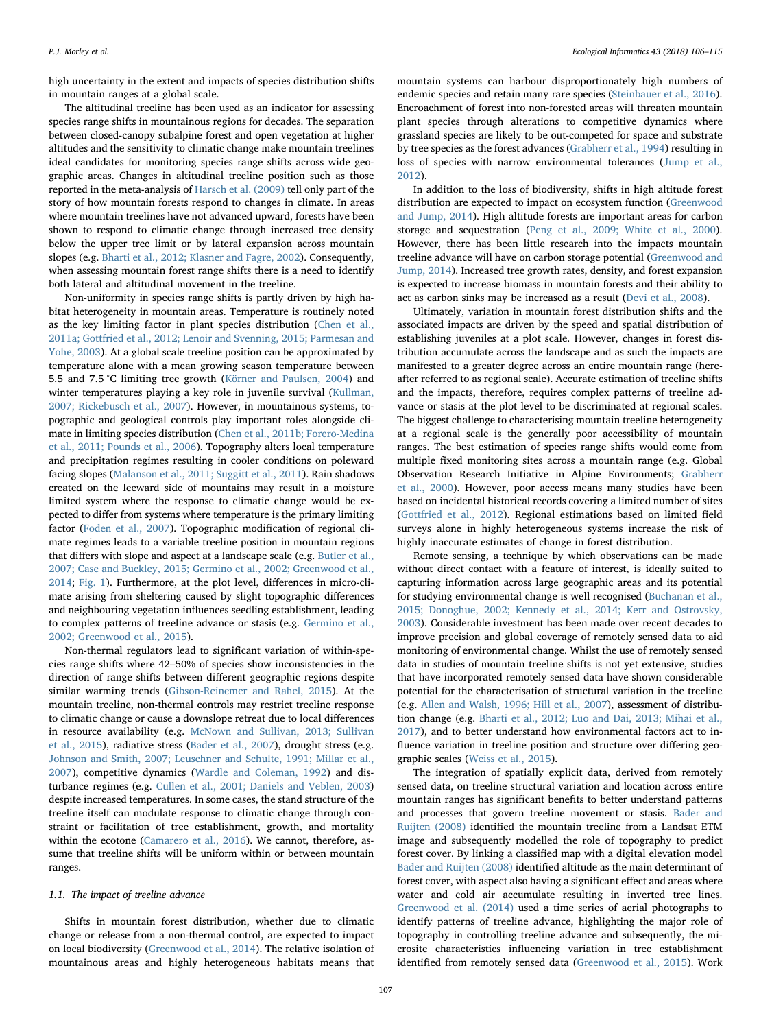high uncertainty in the extent and impacts of species distribution shifts in mountain ranges at a global scale.

The altitudinal treeline has been used as an indicator for assessing species range shifts in mountainous regions for decades. The separation between closed-canopy subalpine forest and open vegetation at higher altitudes and the sensitivity to climatic change make mountain treelines ideal candidates for monitoring species range shifts across wide geographic areas. Changes in altitudinal treeline position such as those reported in the meta-analysis of Harsch et al. (2009) tell only part of the story of how mountain forests respond to changes in climate. In areas where mountain treelines have not advanced upward, forests have been shown to respond to climatic change through increased tree density below the upper tree limit or by lateral expansion across mountain slopes (e.g. Bharti et al., 2012; Klasner and Fagre, 2002). Consequently, when assessing mountain forest range shifts there is a need to identify both lateral and altitudinal movement in the treeline.

Non-uniformity in species range shifts is partly driven by high habitat heterogeneity in mountain areas. Temperature is routinely noted as the key limiting factor in plant species distribution (Chen et al., 2011a; Gottfried et al., 2012; Lenoir and Svenning, 2015; Parmesan and Yohe, 2003). At a global scale treeline position can be approximated by temperature alone with a mean growing season temperature between 5.5 and 7.5 °C limiting tree growth (Körner and Paulsen, 2004) and winter temperatures playing a key role in juvenile survival (Kullman, 2007; Rickebusch et al., 2007). However, in mountainous systems, topographic and geological controls play important roles alongside climate in limiting species distribution (Chen et al., 2011b; Forero-Medina et al., 2011; Pounds et al., 2006). Topography alters local temperature and precipitation regimes resulting in cooler conditions on poleward facing slopes (Malanson et al., 2011; Suggitt et al., 2011). Rain shadows created on the leeward side of mountains may result in a moisture limited system where the response to climatic change would be expected to differ from systems where temperature is the primary limiting factor (Foden et al., 2007). Topographic modification of regional climate regimes leads to a variable treeline position in mountain regions that differs with slope and aspect at a landscape scale (e.g. Butler et al., 2007; Case and Buckley, 2015; Germino et al., 2002; Greenwood et al., 2014; Fig. 1). Furthermore, at the plot level, differences in micro-climate arising from sheltering caused by slight topographic differences and neighbouring vegetation influences seedling establishment, leading to complex patterns of treeline advance or stasis (e.g. Germino et al., 2002; Greenwood et al., 2015).

Non-thermal regulators lead to significant variation of within-species range shifts where 42–50% of species show inconsistencies in the direction of range shifts between different geographic regions despite similar warming trends (Gibson-Reinemer and Rahel, 2015). At the mountain treeline, non-thermal controls may restrict treeline response to climatic change or cause a downslope retreat due to local differences in resource availability (e.g. McNown and Sullivan, 2013; Sullivan et al., 2015), radiative stress (Bader et al., 2007), drought stress (e.g. Johnson and Smith, 2007; Leuschner and Schulte, 1991; Millar et al., 2007), competitive dynamics (Wardle and Coleman, 1992) and disturbance regimes (e.g. Cullen et al., 2001; Daniels and Veblen, 2003) despite increased temperatures. In some cases, the stand structure of the treeline itself can modulate response to climatic change through constraint or facilitation of tree establishment, growth, and mortality within the ecotone (Camarero et al., 2016). We cannot, therefore, assume that treeline shifts will be uniform within or between mountain ranges.

#### 1.1. The impact of treeline advance

Shifts in mountain forest distribution, whether due to climatic change or release from a non-thermal control, are expected to impact on local biodiversity (Greenwood et al., 2014). The relative isolation of mountainous areas and highly heterogeneous habitats means that mountain systems can harbour disproportionately high numbers of endemic species and retain many rare species (Steinbauer et al., 2016). Encroachment of forest into non-forested areas will threaten mountain plant species through alterations to competitive dynamics where grassland species are likely to be out-competed for space and substrate by tree species as the forest advances (Grabherr et al., 1994) resulting in loss of species with narrow environmental tolerances (Jump et al., 2012).

In addition to the loss of biodiversity, shifts in high altitude forest distribution are expected to impact on ecosystem function (Greenwood and Jump, 2014). High altitude forests are important areas for carbon storage and sequestration (Peng et al., 2009; White et al., 2000). However, there has been little research into the impacts mountain treeline advance will have on carbon storage potential (Greenwood and Jump, 2014). Increased tree growth rates, density, and forest expansion is expected to increase biomass in mountain forests and their ability to act as carbon sinks may be increased as a result (Devi et al., 2008).

Ultimately, variation in mountain forest distribution shifts and the associated impacts are driven by the speed and spatial distribution of establishing juveniles at a plot scale. However, changes in forest distribution accumulate across the landscape and as such the impacts are manifested to a greater degree across an entire mountain range (hereafter referred to as regional scale). Accurate estimation of treeline shifts and the impacts, therefore, requires complex patterns of treeline advance or stasis at the plot level to be discriminated at regional scales. The biggest challenge to characterising mountain treeline heterogeneity at a regional scale is the generally poor accessibility of mountain ranges. The best estimation of species range shifts would come from multiple fixed monitoring sites across a mountain range (e.g. Global Observation Research Initiative in Alpine Environments; Grabherr et al., 2000). However, poor access means many studies have been based on incidental historical records covering a limited number of sites (Gottfried et al., 2012). Regional estimations based on limited field surveys alone in highly heterogeneous systems increase the risk of highly inaccurate estimates of change in forest distribution.

Remote sensing, a technique by which observations can be made without direct contact with a feature of interest, is ideally suited to capturing information across large geographic areas and its potential for studying environmental change is well recognised (Buchanan et al., 2015; Donoghue, 2002; Kennedy et al., 2014; Kerr and Ostrovsky, 2003). Considerable investment has been made over recent decades to improve precision and global coverage of remotely sensed data to aid monitoring of environmental change. Whilst the use of remotely sensed data in studies of mountain treeline shifts is not yet extensive, studies that have incorporated remotely sensed data have shown considerable potential for the characterisation of structural variation in the treeline (e.g. Allen and Walsh, 1996; Hill et al., 2007), assessment of distribution change (e.g. Bharti et al., 2012; Luo and Dai, 2013; Mihai et al., 2017), and to better understand how environmental factors act to influence variation in treeline position and structure over differing geographic scales (Weiss et al., 2015).

The integration of spatially explicit data, derived from remotely sensed data, on treeline structural variation and location across entire mountain ranges has significant benefits to better understand patterns and processes that govern treeline movement or stasis. Bader and Ruijten (2008) identified the mountain treeline from a Landsat ETM image and subsequently modelled the role of topography to predict forest cover. By linking a classified map with a digital elevation model Bader and Ruijten (2008) identified altitude as the main determinant of forest cover, with aspect also having a significant effect and areas where water and cold air accumulate resulting in inverted tree lines. Greenwood et al. (2014) used a time series of aerial photographs to identify patterns of treeline advance, highlighting the major role of topography in controlling treeline advance and subsequently, the microsite characteristics influencing variation in tree establishment identified from remotely sensed data (Greenwood et al., 2015). Work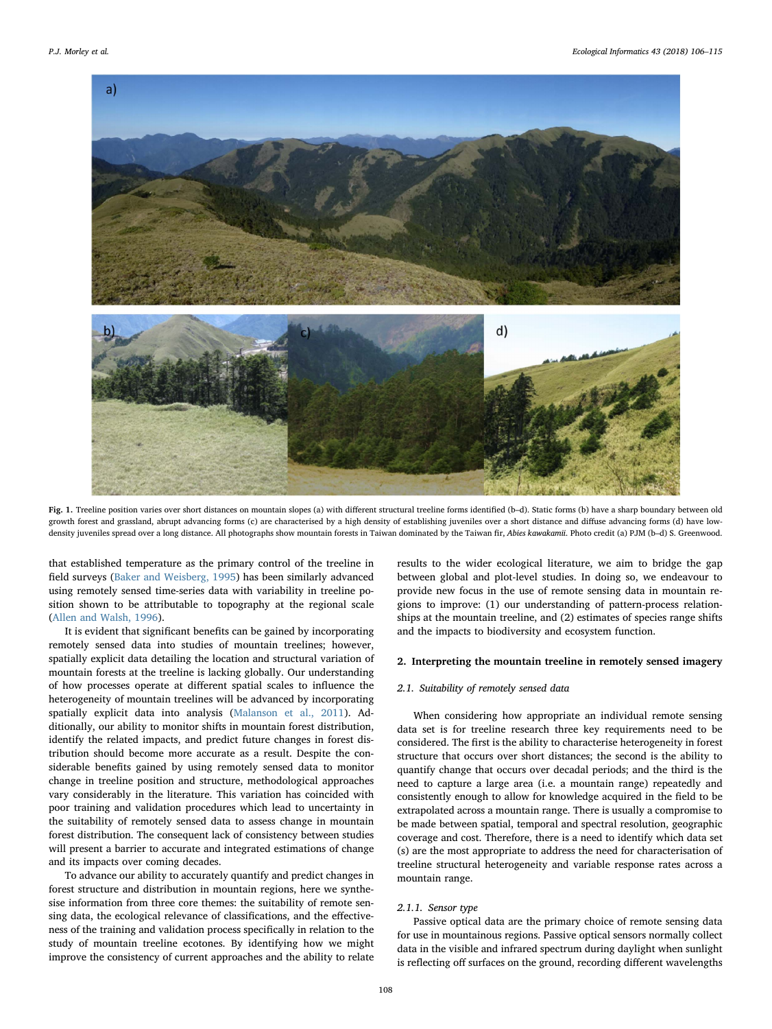

Fig. 1. Treeline position varies over short distances on mountain slopes (a) with different structural treeline forms identified (b-d). Static forms (b) have a sharp boundary between old growth forest and grassland, abrupt advancing forms (c) are characterised by a high density of establishing juveniles over a short distance and diffuse advancing forms (d) have lowdensity juveniles spread over a long distance. All photographs show mountain forests in Taiwan dominated by the Taiwan fir, Abies kawakamii. Photo credit (a) PJM (b-d) S. Greenwood.

that established temperature as the primary control of the treeline in field surveys (Baker and Weisberg, 1995) has been similarly advanced using remotely sensed time-series data with variability in treeline position shown to be attributable to topography at the regional scale (Allen and Walsh, 1996).

It is evident that significant benefits can be gained by incorporating remotely sensed data into studies of mountain treelines; however, spatially explicit data detailing the location and structural variation of mountain forests at the treeline is lacking globally. Our understanding of how processes operate at different spatial scales to influence the heterogeneity of mountain treelines will be advanced by incorporating spatially explicit data into analysis (Malanson et al., 2011). Additionally, our ability to monitor shifts in mountain forest distribution, identify the related impacts, and predict future changes in forest distribution should become more accurate as a result. Despite the considerable benefits gained by using remotely sensed data to monitor change in treeline position and structure, methodological approaches vary considerably in the literature. This variation has coincided with poor training and validation procedures which lead to uncertainty in the suitability of remotely sensed data to assess change in mountain forest distribution. The consequent lack of consistency between studies will present a barrier to accurate and integrated estimations of change and its impacts over coming decades.

To advance our ability to accurately quantify and predict changes in forest structure and distribution in mountain regions, here we synthesise information from three core themes: the suitability of remote sensing data, the ecological relevance of classifications, and the effectiveness of the training and validation process specifically in relation to the study of mountain treeline ecotones. By identifying how we might improve the consistency of current approaches and the ability to relate results to the wider ecological literature, we aim to bridge the gap between global and plot-level studies. In doing so, we endeavour to provide new focus in the use of remote sensing data in mountain regions to improve: (1) our understanding of pattern-process relationships at the mountain treeline, and (2) estimates of species range shifts and the impacts to biodiversity and ecosystem function.

### 2. Interpreting the mountain treeline in remotely sensed imagery

#### 2.1. Suitability of remotely sensed data

When considering how appropriate an individual remote sensing data set is for treeline research three key requirements need to be considered. The first is the ability to characterise heterogeneity in forest structure that occurs over short distances; the second is the ability to quantify change that occurs over decadal periods; and the third is the need to capture a large area (i.e. a mountain range) repeatedly and consistently enough to allow for knowledge acquired in the field to be extrapolated across a mountain range. There is usually a compromise to be made between spatial, temporal and spectral resolution, geographic coverage and cost. Therefore, there is a need to identify which data set (s) are the most appropriate to address the need for characterisation of treeline structural heterogeneity and variable response rates across a mountain range.

#### 2.1.1. Sensor type

Passive optical data are the primary choice of remote sensing data for use in mountainous regions. Passive optical sensors normally collect data in the visible and infrared spectrum during daylight when sunlight is reflecting off surfaces on the ground, recording different wavelengths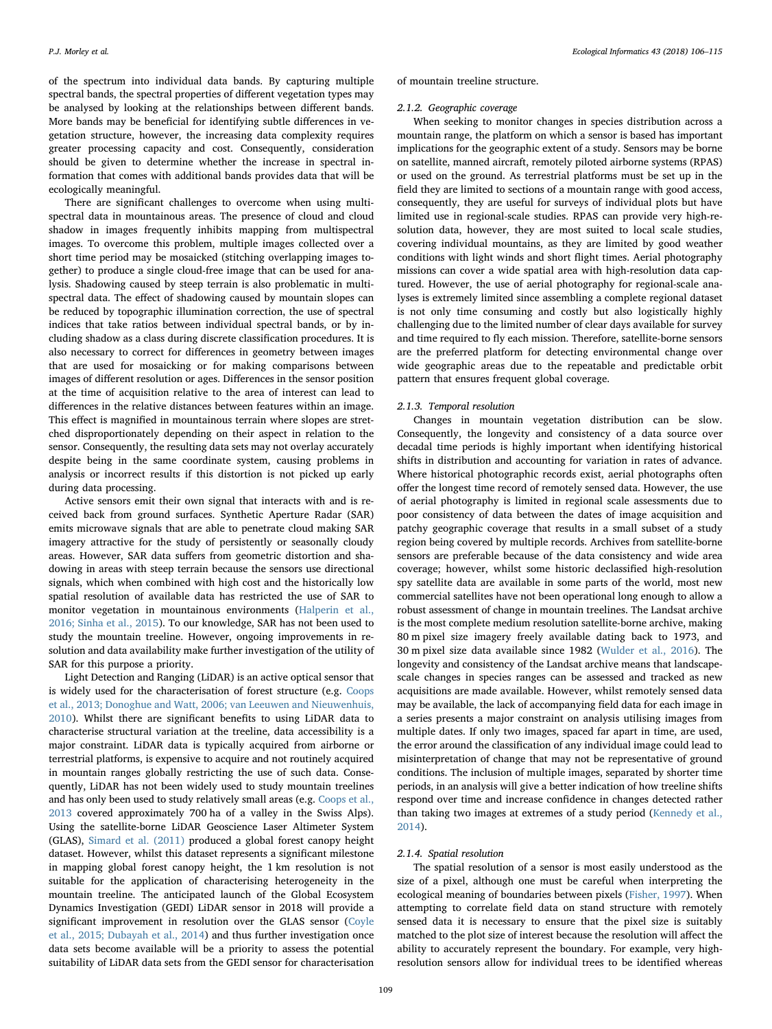of the spectrum into individual data bands. By capturing multiple spectral bands, the spectral properties of different vegetation types may be analysed by looking at the relationships between different bands. More bands may be beneficial for identifying subtle differences in vegetation structure, however, the increasing data complexity requires greater processing capacity and cost. Consequently, consideration should be given to determine whether the increase in spectral information that comes with additional bands provides data that will be ecologically meaningful.

There are significant challenges to overcome when using multispectral data in mountainous areas. The presence of cloud and cloud shadow in images frequently inhibits mapping from multispectral images. To overcome this problem, multiple images collected over a short time period may be mosaicked (stitching overlapping images together) to produce a single cloud-free image that can be used for analysis. Shadowing caused by steep terrain is also problematic in multispectral data. The effect of shadowing caused by mountain slopes can be reduced by topographic illumination correction, the use of spectral indices that take ratios between individual spectral bands, or by including shadow as a class during discrete classification procedures. It is also necessary to correct for differences in geometry between images that are used for mosaicking or for making comparisons between images of different resolution or ages. Differences in the sensor position at the time of acquisition relative to the area of interest can lead to differences in the relative distances between features within an image. This effect is magnified in mountainous terrain where slopes are stretched disproportionately depending on their aspect in relation to the sensor. Consequently, the resulting data sets may not overlay accurately despite being in the same coordinate system, causing problems in analysis or incorrect results if this distortion is not picked up early during data processing.

Active sensors emit their own signal that interacts with and is received back from ground surfaces. Synthetic Aperture Radar (SAR) emits microwave signals that are able to penetrate cloud making SAR imagery attractive for the study of persistently or seasonally cloudy areas. However, SAR data suffers from geometric distortion and shadowing in areas with steep terrain because the sensors use directional signals, which when combined with high cost and the historically low spatial resolution of available data has restricted the use of SAR to monitor vegetation in mountainous environments (Halperin et al., 2016; Sinha et al., 2015). To our knowledge, SAR has not been used to study the mountain treeline. However, ongoing improvements in resolution and data availability make further investigation of the utility of SAR for this purpose a priority.

Light Detection and Ranging (LiDAR) is an active optical sensor that is widely used for the characterisation of forest structure (e.g. Coops et al., 2013; Donoghue and Watt, 2006; van Leeuwen and Nieuwenhuis, 2010). Whilst there are significant benefits to using LiDAR data to characterise structural variation at the treeline, data accessibility is a major constraint. LiDAR data is typically acquired from airborne or terrestrial platforms, is expensive to acquire and not routinely acquired in mountain ranges globally restricting the use of such data. Consequently, LiDAR has not been widely used to study mountain treelines and has only been used to study relatively small areas (e.g. Coops et al., 2013 covered approximately 700 ha of a valley in the Swiss Alps). Using the satellite-borne LiDAR Geoscience Laser Altimeter System (GLAS), Simard et al. (2011) produced a global forest canopy height dataset. However, whilst this dataset represents a significant milestone in mapping global forest canopy height, the 1 km resolution is not suitable for the application of characterising heterogeneity in the mountain treeline. The anticipated launch of the Global Ecosystem Dynamics Investigation (GEDI) LiDAR sensor in 2018 will provide a significant improvement in resolution over the GLAS sensor (Coyle et al., 2015; Dubayah et al., 2014) and thus further investigation once data sets become available will be a priority to assess the potential suitability of LiDAR data sets from the GEDI sensor for characterisation

of mountain treeline structure.

### 2.1.2. Geographic coverage

When seeking to monitor changes in species distribution across a mountain range, the platform on which a sensor is based has important implications for the geographic extent of a study. Sensors may be borne on satellite, manned aircraft, remotely piloted airborne systems (RPAS) or used on the ground. As terrestrial platforms must be set up in the field they are limited to sections of a mountain range with good access, consequently, they are useful for surveys of individual plots but have limited use in regional-scale studies. RPAS can provide very high-resolution data, however, they are most suited to local scale studies, covering individual mountains, as they are limited by good weather conditions with light winds and short flight times. Aerial photography missions can cover a wide spatial area with high-resolution data captured. However, the use of aerial photography for regional-scale analyses is extremely limited since assembling a complete regional dataset is not only time consuming and costly but also logistically highly challenging due to the limited number of clear days available for survey and time required to fly each mission. Therefore, satellite-borne sensors are the preferred platform for detecting environmental change over wide geographic areas due to the repeatable and predictable orbit pattern that ensures frequent global coverage.

#### 2.1.3. Temporal resolution

Changes in mountain vegetation distribution can be slow. Consequently, the longevity and consistency of a data source over decadal time periods is highly important when identifying historical shifts in distribution and accounting for variation in rates of advance. Where historical photographic records exist, aerial photographs often offer the longest time record of remotely sensed data. However, the use of aerial photography is limited in regional scale assessments due to poor consistency of data between the dates of image acquisition and patchy geographic coverage that results in a small subset of a study region being covered by multiple records. Archives from satellite-borne sensors are preferable because of the data consistency and wide area coverage; however, whilst some historic declassified high-resolution spy satellite data are available in some parts of the world, most new commercial satellites have not been operational long enough to allow a robust assessment of change in mountain treelines. The Landsat archive is the most complete medium resolution satellite-borne archive, making 80 m pixel size imagery freely available dating back to 1973, and 30 m pixel size data available since 1982 (Wulder et al., 2016). The longevity and consistency of the Landsat archive means that landscapescale changes in species ranges can be assessed and tracked as new acquisitions are made available. However, whilst remotely sensed data may be available, the lack of accompanying field data for each image in a series presents a major constraint on analysis utilising images from multiple dates. If only two images, spaced far apart in time, are used, the error around the classification of any individual image could lead to misinterpretation of change that may not be representative of ground conditions. The inclusion of multiple images, separated by shorter time periods, in an analysis will give a better indication of how treeline shifts respond over time and increase confidence in changes detected rather than taking two images at extremes of a study period (Kennedy et al., 2014).

### 2.1.4. Spatial resolution

The spatial resolution of a sensor is most easily understood as the size of a pixel, although one must be careful when interpreting the ecological meaning of boundaries between pixels (Fisher, 1997). When attempting to correlate field data on stand structure with remotely sensed data it is necessary to ensure that the pixel size is suitably matched to the plot size of interest because the resolution will affect the ability to accurately represent the boundary. For example, very highresolution sensors allow for individual trees to be identified whereas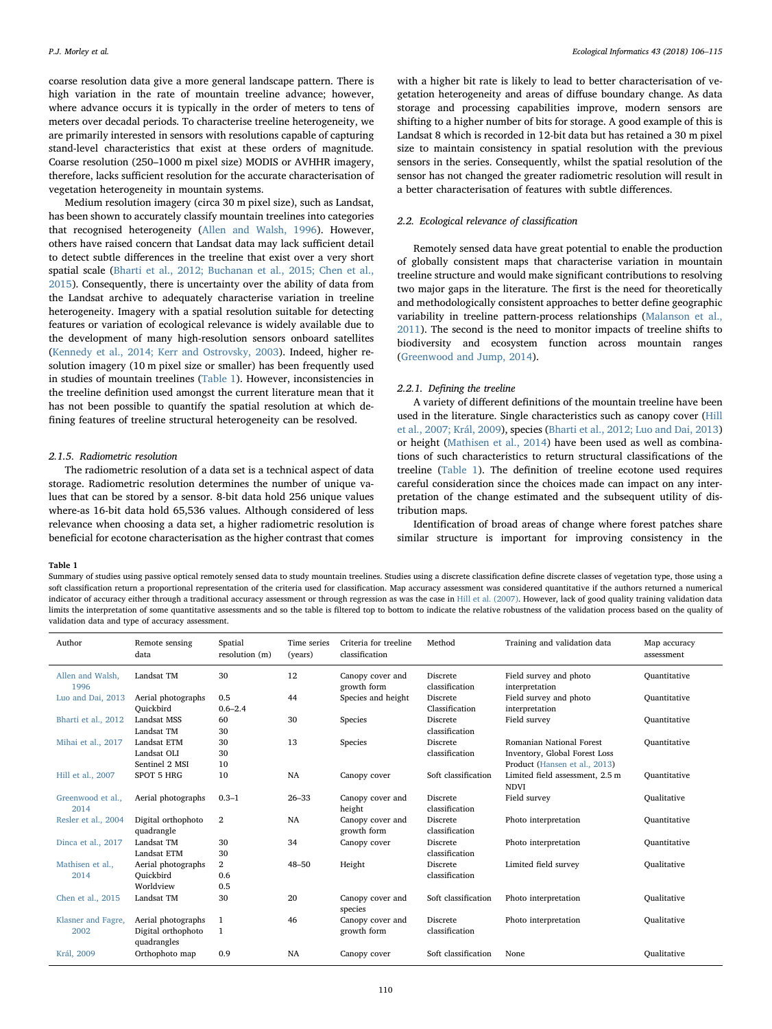coarse resolution data give a more general landscape pattern. There is high variation in the rate of mountain treeline advance; however, where advance occurs it is typically in the order of meters to tens of meters over decadal periods. To characterise treeline heterogeneity, we are primarily interested in sensors with resolutions capable of capturing stand-level characteristics that exist at these orders of magnitude. Coarse resolution (250–1000 m pixel size) MODIS or AVHHR imagery, therefore, lacks sufficient resolution for the accurate characterisation of vegetation heterogeneity in mountain systems.

Medium resolution imagery (circa 30 m pixel size), such as Landsat, has been shown to accurately classify mountain treelines into categories that recognised heterogeneity (Allen and Walsh, 1996). However, others have raised concern that Landsat data may lack sufficient detail to detect subtle differences in the treeline that exist over a very short spatial scale (Bharti et al., 2012; Buchanan et al., 2015; Chen et al., 2015). Consequently, there is uncertainty over the ability of data from the Landsat archive to adequately characterise variation in treeline heterogeneity. Imagery with a spatial resolution suitable for detecting features or variation of ecological relevance is widely available due to the development of many high-resolution sensors onboard satellites (Kennedy et al., 2014; Kerr and Ostrovsky, 2003). Indeed, higher resolution imagery (10 m pixel size or smaller) has been frequently used in studies of mountain treelines (Table 1). However, inconsistencies in the treeline definition used amongst the current literature mean that it has not been possible to quantify the spatial resolution at which defining features of treeline structural heterogeneity can be resolved.

#### 2.1.5. Radiometric resolution

The radiometric resolution of a data set is a technical aspect of data storage. Radiometric resolution determines the number of unique values that can be stored by a sensor. 8-bit data hold 256 unique values where-as 16-bit data hold 65,536 values. Although considered of less relevance when choosing a data set, a higher radiometric resolution is beneficial for ecotone characterisation as the higher contrast that comes

with a higher bit rate is likely to lead to better characterisation of vegetation heterogeneity and areas of diffuse boundary change. As data storage and processing capabilities improve, modern sensors are shifting to a higher number of bits for storage. A good example of this is Landsat 8 which is recorded in 12-bit data but has retained a 30 m pixel size to maintain consistency in spatial resolution with the previous sensors in the series. Consequently, whilst the spatial resolution of the sensor has not changed the greater radiometric resolution will result in a better characterisation of features with subtle differences.

### 2.2. Ecological relevance of classification

Remotely sensed data have great potential to enable the production of globally consistent maps that characterise variation in mountain treeline structure and would make significant contributions to resolving two major gaps in the literature. The first is the need for theoretically and methodologically consistent approaches to better define geographic variability in treeline pattern-process relationships (Malanson et al., 2011). The second is the need to monitor impacts of treeline shifts to biodiversity and ecosystem function across mountain ranges (Greenwood and Jump, 2014).

#### 2.2.1. Defining the treeline

A variety of different definitions of the mountain treeline have been used in the literature. Single characteristics such as canopy cover (Hill et al., 2007; Král, 2009), species (Bharti et al., 2012; Luo and Dai, 2013) or height (Mathisen et al., 2014) have been used as well as combinations of such characteristics to return structural classifications of the treeline (Table 1). The definition of treeline ecotone used requires careful consideration since the choices made can impact on any interpretation of the change estimated and the subsequent utility of distribution maps.

Identification of broad areas of change where forest patches share similar structure is important for improving consistency in the

#### Table 1

Summary of studies using passive optical remotely sensed data to study mountain treelines. Studies using a discrete classification define discrete classes of vegetation type, those using a soft classification return a proportional representation of the criteria used for classification. Map accuracy assessment was considered quantitative if the authors returned a numerical indicator of accuracy either through a traditional accuracy assessment or through regression as was the case in Hill et al. (2007). However, lack of good quality training validation data limits the interpretation of some quantitative assessments and so the table is filtered top to bottom to indicate the relative robustness of the validation process based on the quality of validation data and type of accuracy assessment.

| Author                    | Remote sensing<br>data            | Spatial<br>resolution (m) | Time series<br>(years) | Criteria for treeline<br>classification | Method                            | Training and validation data                   | Map accuracy<br>assessment |
|---------------------------|-----------------------------------|---------------------------|------------------------|-----------------------------------------|-----------------------------------|------------------------------------------------|----------------------------|
| Allen and Walsh,<br>1996  | Landsat TM                        | 30                        | 12                     | Canopy cover and<br>growth form         | Discrete<br>classification        | Field survey and photo<br>interpretation       | Ouantitative               |
| Luo and Dai, 2013         | Aerial photographs                | 0.5                       | 44                     | Species and height                      | Discrete                          | Field survey and photo                         | Ouantitative               |
|                           | Ouickbird                         | $0.6 - 2.4$               |                        |                                         | Classification                    | interpretation                                 |                            |
| Bharti et al., 2012       | Landsat MSS                       | 60                        | 30                     | Species                                 | Discrete                          | Field survey                                   | Ouantitative               |
|                           | Landsat TM                        | 30                        |                        |                                         | classification                    |                                                |                            |
| Mihai et al., 2017        | Landsat ETM                       | 30                        | 13                     | Species                                 | Discrete                          | Romanian National Forest                       | Ouantitative               |
|                           | Landsat OLI                       | 30                        |                        |                                         | classification                    | Inventory, Global Forest Loss                  |                            |
|                           | Sentinel 2 MSI                    | 10                        |                        |                                         |                                   | Product (Hansen et al., 2013)                  |                            |
| Hill et al., 2007         | SPOT 5 HRG                        | 10                        | <b>NA</b>              | Canopy cover                            | Soft classification               | Limited field assessment, 2.5 m<br><b>NDVI</b> | Ouantitative               |
| Greenwood et al.,<br>2014 | Aerial photographs                | $0.3 - 1$                 | $26 - 33$              | Canopy cover and<br>height              | <b>Discrete</b><br>classification | Field survey                                   | Oualitative                |
| Resler et al., 2004       | Digital orthophoto<br>quadrangle  | $\boldsymbol{2}$          | NA                     | Canopy cover and<br>growth form         | Discrete<br>classification        | Photo interpretation                           | Ouantitative               |
| Dinca et al., 2017        | Landsat TM                        | 30                        | 34                     | Canopy cover                            | Discrete                          | Photo interpretation                           | Ouantitative               |
|                           | Landsat ETM                       | 30                        |                        |                                         | classification                    |                                                |                            |
| Mathisen et al.,          | Aerial photographs                | $\overline{2}$            | $48 - 50$              | Height                                  | Discrete                          | Limited field survey                           | Oualitative                |
| 2014                      | Quickbird                         | 0.6                       |                        |                                         | classification                    |                                                |                            |
|                           | Worldview                         | 0.5                       |                        |                                         |                                   |                                                |                            |
| Chen et al., 2015         | Landsat TM                        | 30                        | 20                     | Canopy cover and<br>species             | Soft classification               | Photo interpretation                           | Qualitative                |
| Klasner and Fagre,        | Aerial photographs                | 1                         | 46                     | Canopy cover and                        | Discrete                          | Photo interpretation                           | Oualitative                |
| 2002                      | Digital orthophoto<br>quadrangles | 1                         |                        | growth form                             | classification                    |                                                |                            |
| Král, 2009                | Orthophoto map                    | 0.9                       | <b>NA</b>              | Canopy cover                            | Soft classification               | None                                           | Oualitative                |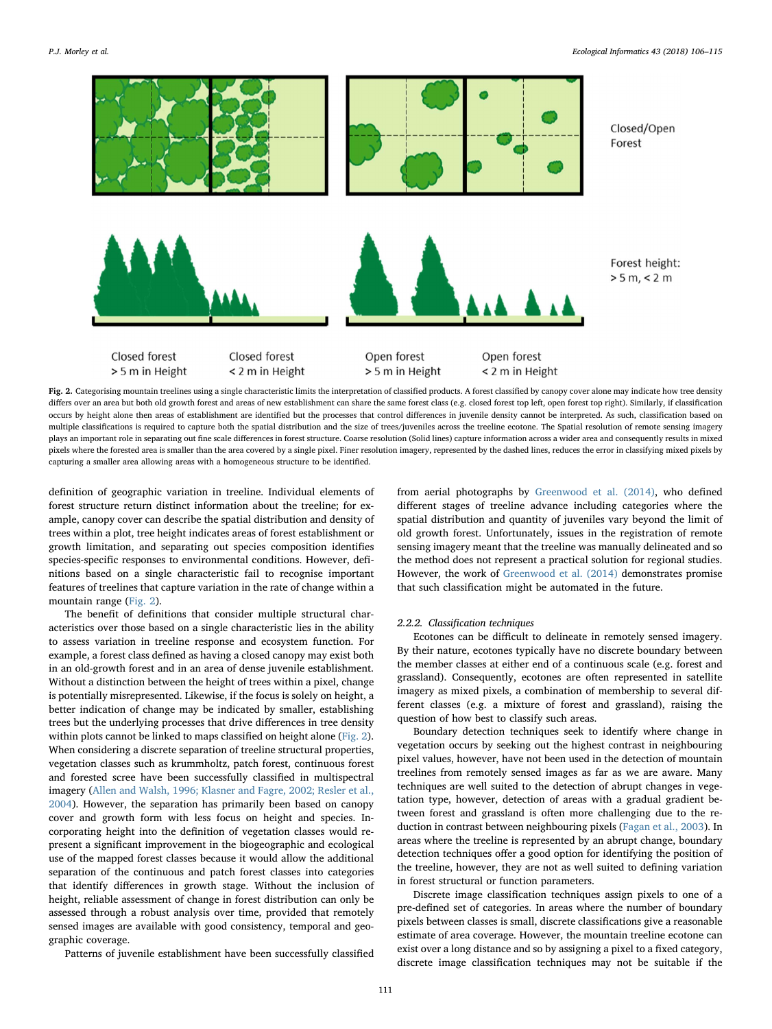

Fig. 2. Categorising mountain treelines using a single characteristic limits the interpretation of classified products. A forest classified by canopy cover alone may indicate how tree density differs over an area but both old growth forest and areas of new establishment can share the same forest class (e.g. closed forest top left, open forest top right). Similarly, if classification occurs by height alone then areas of establishment are identified but the processes that control differences in juvenile density cannot be interpreted. As such, classification based on multiple classifications is required to capture both the spatial distribution and the size of trees/juveniles across the treeline ecotone. The Spatial resolution of remote sensing imagery plays an important role in separating out fine scale differences in forest structure. Coarse resolution (Solid lines) capture information across a wider area and consequently results in mixed pixels where the forested area is smaller than the area covered by a single pixel. Finer resolution imagery, represented by the dashed lines, reduces the error in classifying mixed pixels by capturing a smaller area allowing areas with a homogeneous structure to be identified.

definition of geographic variation in treeline. Individual elements of forest structure return distinct information about the treeline; for example, canopy cover can describe the spatial distribution and density of trees within a plot, tree height indicates areas of forest establishment or growth limitation, and separating out species composition identifies species-specific responses to environmental conditions. However, definitions based on a single characteristic fail to recognise important features of treelines that capture variation in the rate of change within a mountain range (Fig. 2).

The benefit of definitions that consider multiple structural characteristics over those based on a single characteristic lies in the ability to assess variation in treeline response and ecosystem function. For example, a forest class defined as having a closed canopy may exist both in an old-growth forest and in an area of dense juvenile establishment. Without a distinction between the height of trees within a pixel, change is potentially misrepresented. Likewise, if the focus is solely on height, a better indication of change may be indicated by smaller, establishing trees but the underlying processes that drive differences in tree density within plots cannot be linked to maps classified on height alone (Fig. 2). When considering a discrete separation of treeline structural properties, vegetation classes such as krummholtz, patch forest, continuous forest and forested scree have been successfully classified in multispectral imagery (Allen and Walsh, 1996; Klasner and Fagre, 2002; Resler et al., 2004). However, the separation has primarily been based on canopy cover and growth form with less focus on height and species. Incorporating height into the definition of vegetation classes would represent a significant improvement in the biogeographic and ecological use of the mapped forest classes because it would allow the additional separation of the continuous and patch forest classes into categories that identify differences in growth stage. Without the inclusion of height, reliable assessment of change in forest distribution can only be assessed through a robust analysis over time, provided that remotely sensed images are available with good consistency, temporal and geographic coverage.

Patterns of juvenile establishment have been successfully classified

from aerial photographs by Greenwood et al. (2014), who defined different stages of treeline advance including categories where the spatial distribution and quantity of juveniles vary beyond the limit of old growth forest. Unfortunately, issues in the registration of remote sensing imagery meant that the treeline was manually delineated and so the method does not represent a practical solution for regional studies. However, the work of Greenwood et al. (2014) demonstrates promise that such classification might be automated in the future.

#### 2.2.2. Classification techniques

Ecotones can be difficult to delineate in remotely sensed imagery. By their nature, ecotones typically have no discrete boundary between the member classes at either end of a continuous scale (e.g. forest and grassland). Consequently, ecotones are often represented in satellite imagery as mixed pixels, a combination of membership to several different classes (e.g. a mixture of forest and grassland), raising the question of how best to classify such areas.

Boundary detection techniques seek to identify where change in vegetation occurs by seeking out the highest contrast in neighbouring pixel values, however, have not been used in the detection of mountain treelines from remotely sensed images as far as we are aware. Many techniques are well suited to the detection of abrupt changes in vegetation type, however, detection of areas with a gradual gradient between forest and grassland is often more challenging due to the reduction in contrast between neighbouring pixels (Fagan et al., 2003). In areas where the treeline is represented by an abrupt change, boundary detection techniques offer a good option for identifying the position of the treeline, however, they are not as well suited to defining variation in forest structural or function parameters.

Discrete image classification techniques assign pixels to one of a pre-defined set of categories. In areas where the number of boundary pixels between classes is small, discrete classifications give a reasonable estimate of area coverage. However, the mountain treeline ecotone can exist over a long distance and so by assigning a pixel to a fixed category, discrete image classification techniques may not be suitable if the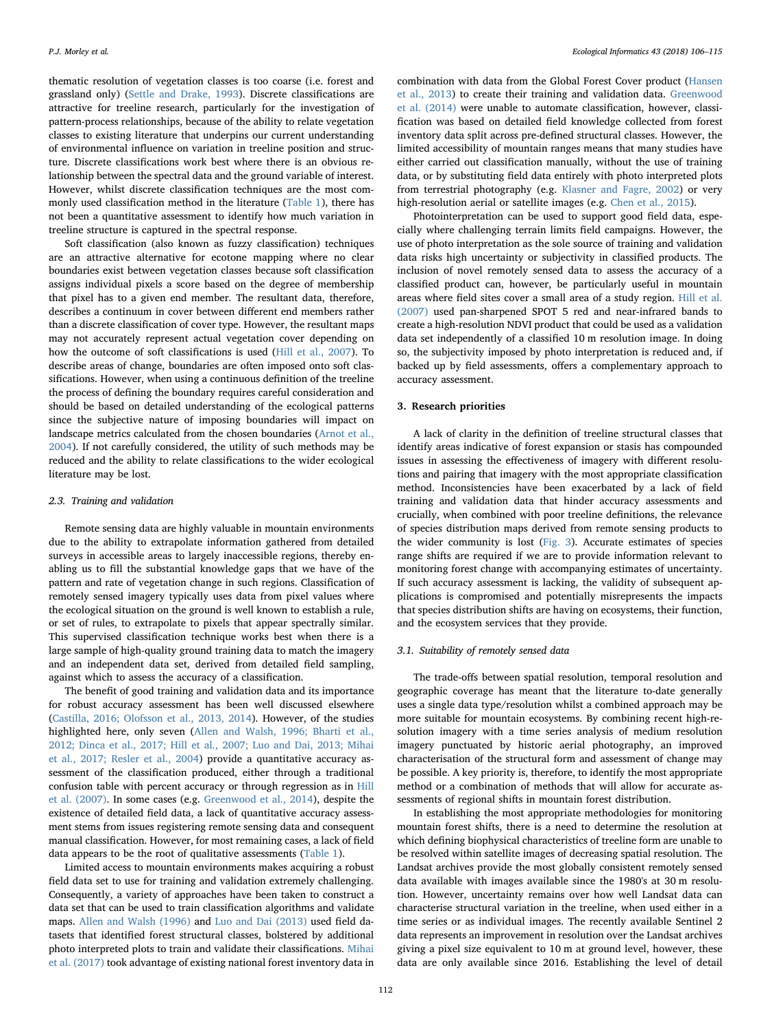thematic resolution of vegetation classes is too coarse (i.e. forest and grassland only) (Settle and Drake, 1993). Discrete classifications are attractive for treeline research, particularly for the investigation of pattern-process relationships, because of the ability to relate vegetation classes to existing literature that underpins our current understanding of environmental influence on variation in treeline position and structure. Discrete classifications work best where there is an obvious relationship between the spectral data and the ground variable of interest. However, whilst discrete classification techniques are the most commonly used classification method in the literature (Table 1), there has not been a quantitative assessment to identify how much variation in treeline structure is captured in the spectral response.

Soft classification (also known as fuzzy classification) techniques are an attractive alternative for ecotone mapping where no clear boundaries exist between vegetation classes because soft classification assigns individual pixels a score based on the degree of membership that pixel has to a given end member. The resultant data, therefore, describes a continuum in cover between different end members rather than a discrete classification of cover type. However, the resultant maps may not accurately represent actual vegetation cover depending on how the outcome of soft classifications is used (Hill et al., 2007). To describe areas of change, boundaries are often imposed onto soft classifications. However, when using a continuous definition of the treeline the process of defining the boundary requires careful consideration and should be based on detailed understanding of the ecological patterns since the subjective nature of imposing boundaries will impact on landscape metrics calculated from the chosen boundaries (Arnot et al., 2004). If not carefully considered, the utility of such methods may be reduced and the ability to relate classifications to the wider ecological literature may be lost.

#### 2.3. Training and validation

Remote sensing data are highly valuable in mountain environments due to the ability to extrapolate information gathered from detailed surveys in accessible areas to largely inaccessible regions, thereby enabling us to fill the substantial knowledge gaps that we have of the pattern and rate of vegetation change in such regions. Classification of remotely sensed imagery typically uses data from pixel values where the ecological situation on the ground is well known to establish a rule, or set of rules, to extrapolate to pixels that appear spectrally similar. This supervised classification technique works best when there is a large sample of high-quality ground training data to match the imagery and an independent data set, derived from detailed field sampling, against which to assess the accuracy of a classification.

The benefit of good training and validation data and its importance for robust accuracy assessment has been well discussed elsewhere (Castilla, 2016; Olofsson et al., 2013, 2014). However, of the studies highlighted here, only seven (Allen and Walsh, 1996; Bharti et al., 2012; Dinca et al., 2017; Hill et al., 2007; Luo and Dai, 2013; Mihai et al., 2017; Resler et al., 2004) provide a quantitative accuracy assessment of the classification produced, either through a traditional confusion table with percent accuracy or through regression as in Hill et al. (2007). In some cases (e.g. Greenwood et al., 2014), despite the existence of detailed field data, a lack of quantitative accuracy assessment stems from issues registering remote sensing data and consequent manual classification. However, for most remaining cases, a lack of field data appears to be the root of qualitative assessments (Table 1).

Limited access to mountain environments makes acquiring a robust field data set to use for training and validation extremely challenging. Consequently, a variety of approaches have been taken to construct a data set that can be used to train classification algorithms and validate maps. Allen and Walsh (1996) and Luo and Dai (2013) used field datasets that identified forest structural classes, bolstered by additional photo interpreted plots to train and validate their classifications. Mihai et al. (2017) took advantage of existing national forest inventory data in

combination with data from the Global Forest Cover product (Hansen et al., 2013) to create their training and validation data. Greenwood et al. (2014) were unable to automate classification, however, classification was based on detailed field knowledge collected from forest inventory data split across pre-defined structural classes. However, the limited accessibility of mountain ranges means that many studies have either carried out classification manually, without the use of training data, or by substituting field data entirely with photo interpreted plots from terrestrial photography (e.g. Klasner and Fagre, 2002) or very high-resolution aerial or satellite images (e.g. Chen et al., 2015).

Photointerpretation can be used to support good field data, especially where challenging terrain limits field campaigns. However, the use of photo interpretation as the sole source of training and validation data risks high uncertainty or subjectivity in classified products. The inclusion of novel remotely sensed data to assess the accuracy of a classified product can, however, be particularly useful in mountain areas where field sites cover a small area of a study region. Hill et al. (2007) used pan-sharpened SPOT 5 red and near-infrared bands to create a high-resolution NDVI product that could be used as a validation data set independently of a classified 10 m resolution image. In doing so, the subjectivity imposed by photo interpretation is reduced and, if backed up by field assessments, offers a complementary approach to accuracy assessment.

### 3. Research priorities

A lack of clarity in the definition of treeline structural classes that identify areas indicative of forest expansion or stasis has compounded issues in assessing the effectiveness of imagery with different resolutions and pairing that imagery with the most appropriate classification method. Inconsistencies have been exacerbated by a lack of field training and validation data that hinder accuracy assessments and crucially, when combined with poor treeline definitions, the relevance of species distribution maps derived from remote sensing products to the wider community is lost (Fig. 3). Accurate estimates of species range shifts are required if we are to provide information relevant to monitoring forest change with accompanying estimates of uncertainty. If such accuracy assessment is lacking, the validity of subsequent applications is compromised and potentially misrepresents the impacts that species distribution shifts are having on ecosystems, their function, and the ecosystem services that they provide.

#### 3.1. Suitability of remotely sensed data

The trade-offs between spatial resolution, temporal resolution and geographic coverage has meant that the literature to-date generally uses a single data type/resolution whilst a combined approach may be more suitable for mountain ecosystems. By combining recent high-resolution imagery with a time series analysis of medium resolution imagery punctuated by historic aerial photography, an improved characterisation of the structural form and assessment of change may be possible. A key priority is, therefore, to identify the most appropriate method or a combination of methods that will allow for accurate assessments of regional shifts in mountain forest distribution.

In establishing the most appropriate methodologies for monitoring mountain forest shifts, there is a need to determine the resolution at which defining biophysical characteristics of treeline form are unable to be resolved within satellite images of decreasing spatial resolution. The Landsat archives provide the most globally consistent remotely sensed data available with images available since the 1980's at 30 m resolution. However, uncertainty remains over how well Landsat data can characterise structural variation in the treeline, when used either in a time series or as individual images. The recently available Sentinel 2 data represents an improvement in resolution over the Landsat archives giving a pixel size equivalent to 10 m at ground level, however, these data are only available since 2016. Establishing the level of detail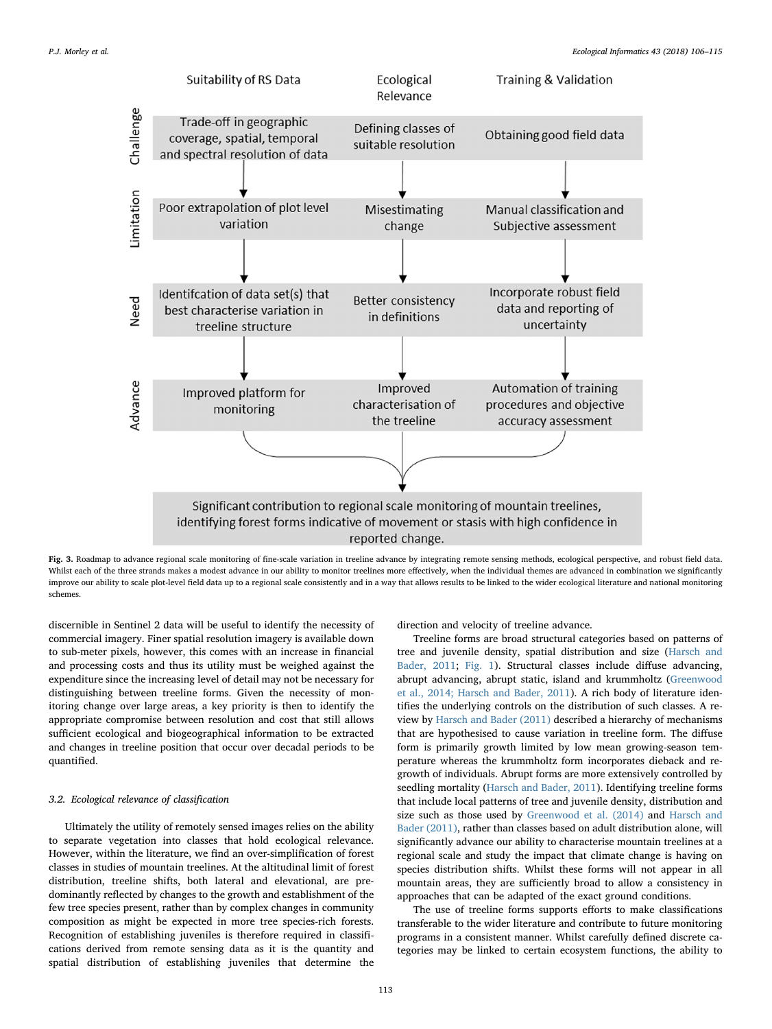

Fig. 3. Roadmap to advance regional scale monitoring of fine-scale variation in treeline advance by integrating remote sensing methods, ecological perspective, and robust field data. Whilst each of the three strands makes a modest advance in our ability to monitor treelines more effectively, when the individual themes are advanced in combination we significantly improve our ability to scale plot-level field data up to a regional scale consistently and in a way that allows results to be linked to the wider ecological literature and national monitoring schemes.

discernible in Sentinel 2 data will be useful to identify the necessity of commercial imagery. Finer spatial resolution imagery is available down to sub-meter pixels, however, this comes with an increase in financial and processing costs and thus its utility must be weighed against the expenditure since the increasing level of detail may not be necessary for distinguishing between treeline forms. Given the necessity of monitoring change over large areas, a key priority is then to identify the appropriate compromise between resolution and cost that still allows sufficient ecological and biogeographical information to be extracted and changes in treeline position that occur over decadal periods to be quantified.

### 3.2. Ecological relevance of classification

Ultimately the utility of remotely sensed images relies on the ability to separate vegetation into classes that hold ecological relevance. However, within the literature, we find an over-simplification of forest classes in studies of mountain treelines. At the altitudinal limit of forest distribution, treeline shifts, both lateral and elevational, are predominantly reflected by changes to the growth and establishment of the few tree species present, rather than by complex changes in community composition as might be expected in more tree species-rich forests. Recognition of establishing juveniles is therefore required in classifications derived from remote sensing data as it is the quantity and spatial distribution of establishing juveniles that determine the direction and velocity of treeline advance.

Treeline forms are broad structural categories based on patterns of tree and juvenile density, spatial distribution and size (Harsch and Bader, 2011; Fig. 1). Structural classes include diffuse advancing, abrupt advancing, abrupt static, island and krummholtz (Greenwood et al., 2014; Harsch and Bader, 2011). A rich body of literature identifies the underlying controls on the distribution of such classes. A review by Harsch and Bader (2011) described a hierarchy of mechanisms that are hypothesised to cause variation in treeline form. The diffuse form is primarily growth limited by low mean growing-season temperature whereas the krummholtz form incorporates dieback and regrowth of individuals. Abrupt forms are more extensively controlled by seedling mortality (Harsch and Bader, 2011). Identifying treeline forms that include local patterns of tree and juvenile density, distribution and size such as those used by Greenwood et al. (2014) and Harsch and Bader (2011), rather than classes based on adult distribution alone, will significantly advance our ability to characterise mountain treelines at a regional scale and study the impact that climate change is having on species distribution shifts. Whilst these forms will not appear in all mountain areas, they are sufficiently broad to allow a consistency in approaches that can be adapted of the exact ground conditions.

The use of treeline forms supports efforts to make classifications transferable to the wider literature and contribute to future monitoring programs in a consistent manner. Whilst carefully defined discrete categories may be linked to certain ecosystem functions, the ability to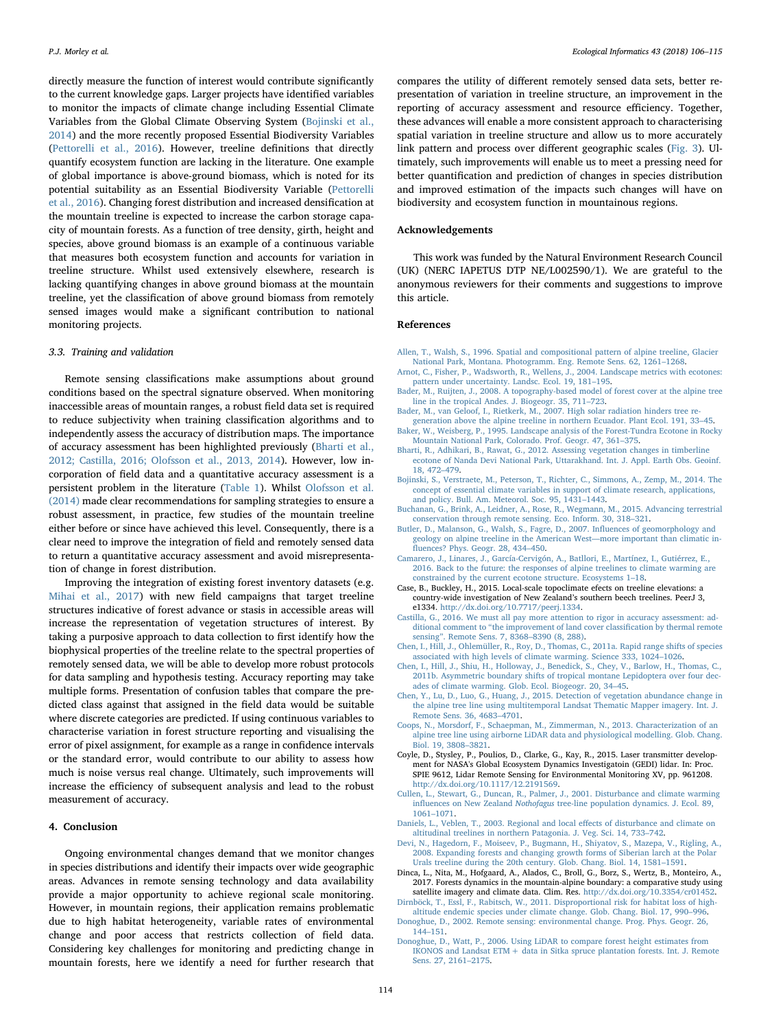directly measure the function of interest would contribute significantly to the current knowledge gaps. Larger projects have identified variables to monitor the impacts of climate change including Essential Climate Variables from the Global Climate Observing System (Bojinski et al., 2014) and the more recently proposed Essential Biodiversity Variables (Pettorelli et al., 2016). However, treeline definitions that directly quantify ecosystem function are lacking in the literature. One example of global importance is above-ground biomass, which is noted for its potential suitability as an Essential Biodiversity Variable (Pettorelli et al., 2016). Changing forest distribution and increased densification at the mountain treeline is expected to increase the carbon storage capacity of mountain forests. As a function of tree density, girth, height and species, above ground biomass is an example of a continuous variable that measures both ecosystem function and accounts for variation in treeline structure. Whilst used extensively elsewhere, research is lacking quantifying changes in above ground biomass at the mountain treeline, yet the classification of above ground biomass from remotely sensed images would make a significant contribution to national monitoring projects.

#### 3.3. Training and validation

Remote sensing classifications make assumptions about ground conditions based on the spectral signature observed. When monitoring inaccessible areas of mountain ranges, a robust field data set is required to reduce subjectivity when training classification algorithms and to independently assess the accuracy of distribution maps. The importance of accuracy assessment has been highlighted previously (Bharti et al., 2012; Castilla, 2016; Olofsson et al., 2013, 2014). However, low incorporation of field data and a quantitative accuracy assessment is a persistent problem in the literature (Table 1). Whilst Olofsson et al. (2014) made clear recommendations for sampling strategies to ensure a robust assessment, in practice, few studies of the mountain treeline either before or since have achieved this level. Consequently, there is a clear need to improve the integration of field and remotely sensed data to return a quantitative accuracy assessment and avoid misrepresentation of change in forest distribution.

Improving the integration of existing forest inventory datasets (e.g. Mihai et al., 2017) with new field campaigns that target treeline structures indicative of forest advance or stasis in accessible areas will increase the representation of vegetation structures of interest. By taking a purposive approach to data collection to first identify how the biophysical properties of the treeline relate to the spectral properties of remotely sensed data, we will be able to develop more robust protocols for data sampling and hypothesis testing. Accuracy reporting may take multiple forms. Presentation of confusion tables that compare the predicted class against that assigned in the field data would be suitable where discrete categories are predicted. If using continuous variables to characterise variation in forest structure reporting and visualising the error of pixel assignment, for example as a range in confidence intervals or the standard error, would contribute to our ability to assess how much is noise versus real change. Ultimately, such improvements will increase the efficiency of subsequent analysis and lead to the robust measurement of accuracy.

### 4. Conclusion

Ongoing environmental changes demand that we monitor changes in species distributions and identify their impacts over wide geographic areas. Advances in remote sensing technology and data availability provide a major opportunity to achieve regional scale monitoring. However, in mountain regions, their application remains problematic due to high habitat heterogeneity, variable rates of environmental change and poor access that restricts collection of field data. Considering key challenges for monitoring and predicting change in mountain forests, here we identify a need for further research that

compares the utility of different remotely sensed data sets, better representation of variation in treeline structure, an improvement in the reporting of accuracy assessment and resource efficiency. Together, these advances will enable a more consistent approach to characterising spatial variation in treeline structure and allow us to more accurately link pattern and process over different geographic scales (Fig. 3). Ultimately, such improvements will enable us to meet a pressing need for better quantification and prediction of changes in species distribution and improved estimation of the impacts such changes will have on biodiversity and ecosystem function in mountainous regions.

### Acknowledgements

This work was funded by the Natural Environment Research Council (UK) (NERC IAPETUS DTP NE/L002590/1). We are grateful to the anonymous reviewers for their comments and suggestions to improve this article.

#### References

- [Allen, T., Walsh, S., 1996. Spatial and compositional pattern of alpine treeline, Glacier](http://refhub.elsevier.com/S1574-9541(17)30079-1/rf0005) [National Park, Montana. Photogramm. Eng. Remote Sens. 62, 1261](http://refhub.elsevier.com/S1574-9541(17)30079-1/rf0005)–1268.
- [Arnot, C., Fisher, P., Wadsworth, R., Wellens, J., 2004. Landscape metrics with ecotones:](http://refhub.elsevier.com/S1574-9541(17)30079-1/rf0010) [pattern under uncertainty. Landsc. Ecol. 19, 181](http://refhub.elsevier.com/S1574-9541(17)30079-1/rf0010)–195.
- [Bader, M., Ruijten, J., 2008. A topography-based model of forest cover at the alpine tree](http://refhub.elsevier.com/S1574-9541(17)30079-1/rf0015) [line in the tropical Andes. J. Biogeogr. 35, 711](http://refhub.elsevier.com/S1574-9541(17)30079-1/rf0015)–723.
- [Bader, M., van Geloof, I., Rietkerk, M., 2007. High solar radiation hinders tree re-](http://refhub.elsevier.com/S1574-9541(17)30079-1/rf0020)
- [generation above the alpine treeline in northern Ecuador. Plant Ecol. 191, 33](http://refhub.elsevier.com/S1574-9541(17)30079-1/rf0020)–45. [Baker, W., Weisberg, P., 1995. Landscape analysis of the Forest-Tundra Ecotone in Rocky](http://refhub.elsevier.com/S1574-9541(17)30079-1/rf0025) [Mountain National Park, Colorado. Prof. Geogr. 47, 361](http://refhub.elsevier.com/S1574-9541(17)30079-1/rf0025)–375.
- [Bharti, R., Adhikari, B., Rawat, G., 2012. Assessing vegetation changes in timberline](http://refhub.elsevier.com/S1574-9541(17)30079-1/rf0030) [ecotone of Nanda Devi National Park, Uttarakhand. Int. J. Appl. Earth Obs. Geoinf.](http://refhub.elsevier.com/S1574-9541(17)30079-1/rf0030) [18, 472](http://refhub.elsevier.com/S1574-9541(17)30079-1/rf0030)–479.
- [Bojinski, S., Verstraete, M., Peterson, T., Richter, C., Simmons, A., Zemp, M., 2014. The](http://refhub.elsevier.com/S1574-9541(17)30079-1/rf0035) [concept of essential climate variables in support of climate research, applications,](http://refhub.elsevier.com/S1574-9541(17)30079-1/rf0035) [and policy. Bull. Am. Meteorol. Soc. 95, 1431](http://refhub.elsevier.com/S1574-9541(17)30079-1/rf0035)–1443.
- [Buchanan, G., Brink, A., Leidner, A., Rose, R., Wegmann, M., 2015. Advancing terrestrial](http://refhub.elsevier.com/S1574-9541(17)30079-1/rf0040) [conservation through remote sensing. Eco. Inform. 30, 318](http://refhub.elsevier.com/S1574-9541(17)30079-1/rf0040)–321.
- [Butler, D., Malanson, G., Walsh, S., Fagre, D., 2007. In](http://refhub.elsevier.com/S1574-9541(17)30079-1/rf0045)fluences of geomorphology and [geology on alpine treeline in the American West](http://refhub.elsevier.com/S1574-9541(17)30079-1/rf0045)—more important than climatic infl[uences? Phys. Geogr. 28, 434](http://refhub.elsevier.com/S1574-9541(17)30079-1/rf0045)–450.
- [Camarero, J., Linares, J., García-Cervigón, A., Batllori, E., Martínez, I., Gutiérrez, E.,](http://refhub.elsevier.com/S1574-9541(17)30079-1/rf0050) [2016. Back to the future: the responses of alpine treelines to climate warming are](http://refhub.elsevier.com/S1574-9541(17)30079-1/rf0050) [constrained by the current ecotone structure. Ecosystems 1](http://refhub.elsevier.com/S1574-9541(17)30079-1/rf0050)–18.
- Case, B., Buckley, H., 2015. Local-scale topoclimate efects on treeline elevations: a country-wide investigation of New Zealand's southern beech treelines. PeerJ 3, e1334. <http://dx.doi.org/10.7717/peerj.1334>.
- [Castilla, G., 2016. We must all pay more attention to rigor in accuracy assessment: ad](http://refhub.elsevier.com/S1574-9541(17)30079-1/rf0055)ditional comment to "[the improvement of land cover classi](http://refhub.elsevier.com/S1574-9541(17)30079-1/rf0055)fication by thermal remote sensing"[. Remote Sens. 7, 8368](http://refhub.elsevier.com/S1574-9541(17)30079-1/rf0055)–8390 (8, 288).
- [Chen, I., Hill, J., Ohlemüller, R., Roy, D., Thomas, C., 2011a. Rapid range shifts of species](http://refhub.elsevier.com/S1574-9541(17)30079-1/rf0060) [associated with high levels of climate warming. Science 333, 1024](http://refhub.elsevier.com/S1574-9541(17)30079-1/rf0060)–1026.
- [Chen, I., Hill, J., Shiu, H., Holloway, J., Benedick, S., Chey, V., Barlow, H., Thomas, C.,](http://refhub.elsevier.com/S1574-9541(17)30079-1/rf0065) [2011b. Asymmetric boundary shifts of tropical montane Lepidoptera over four dec](http://refhub.elsevier.com/S1574-9541(17)30079-1/rf0065)[ades of climate warming. Glob. Ecol. Biogeogr. 20, 34](http://refhub.elsevier.com/S1574-9541(17)30079-1/rf0065)–45.
- [Chen, Y., Lu, D., Luo, G., Huang, J., 2015. Detection of vegetation abundance change in](http://refhub.elsevier.com/S1574-9541(17)30079-1/rf0070) [the alpine tree line using multitemporal Landsat Thematic Mapper imagery. Int. J.](http://refhub.elsevier.com/S1574-9541(17)30079-1/rf0070) [Remote Sens. 36, 4683](http://refhub.elsevier.com/S1574-9541(17)30079-1/rf0070)–4701.
- [Coops, N., Morsdorf, F., Schaepman, M., Zimmerman, N., 2013. Characterization of an](http://refhub.elsevier.com/S1574-9541(17)30079-1/rf0075) [alpine tree line using airborne LiDAR data and physiological modelling. Glob. Chang.](http://refhub.elsevier.com/S1574-9541(17)30079-1/rf0075) [Biol. 19, 3808](http://refhub.elsevier.com/S1574-9541(17)30079-1/rf0075)–3821.
- Coyle, D., Stysley, P., Poulios, D., Clarke, G., Kay, R., 2015. Laser transmitter development for NASA's Global Ecosystem Dynamics Investigatoin (GEDI) lidar. In: Proc. SPIE 9612, Lidar Remote Sensing for Environmental Monitoring XV, pp. 961208. [http://dx.doi.org/10.1117/12.2191569.](http://dx.doi.org/10.1117/12.2191569)
- [Cullen, L., Stewart, G., Duncan, R., Palmer, J., 2001. Disturbance and climate warming](http://refhub.elsevier.com/S1574-9541(17)30079-1/rf0085) influences on New Zealand Nothofagus [tree-line population dynamics. J. Ecol. 89,](http://refhub.elsevier.com/S1574-9541(17)30079-1/rf0085) 1061–[1071](http://refhub.elsevier.com/S1574-9541(17)30079-1/rf0085).
- [Daniels, L., Veblen, T., 2003. Regional and local e](http://refhub.elsevier.com/S1574-9541(17)30079-1/rf0090)ffects of disturbance and climate on [altitudinal treelines in northern Patagonia. J. Veg. Sci. 14, 733](http://refhub.elsevier.com/S1574-9541(17)30079-1/rf0090)–742.
- [Devi, N., Hagedorn, F., Moiseev, P., Bugmann, H., Shiyatov, S., Mazepa, V., Rigling, A.,](http://refhub.elsevier.com/S1574-9541(17)30079-1/rf0095) [2008. Expanding forests and changing growth forms of Siberian larch at the Polar](http://refhub.elsevier.com/S1574-9541(17)30079-1/rf0095) [Urals treeline during the 20th century. Glob. Chang. Biol. 14, 1581](http://refhub.elsevier.com/S1574-9541(17)30079-1/rf0095)–1591.
- Dinca, L., Nita, M., Hofgaard, A., Alados, C., Broll, G., Borz, S., Wertz, B., Monteiro, A., 2017. Forests dynamics in the mountain-alpine boundary: a comparative study using satellite imagery and climate data. Clim. Res. [http://dx.doi.org/10.3354/cr01452.](http://dx.doi.org/10.3354/cr01452)
- [Dirnböck, T., Essl, F., Rabitsch, W., 2011. Disproportional risk for habitat loss of high](http://refhub.elsevier.com/S1574-9541(17)30079-1/rf0105)[altitude endemic species under climate change. Glob. Chang. Biol. 17, 990](http://refhub.elsevier.com/S1574-9541(17)30079-1/rf0105)–996.
- [Donoghue, D., 2002. Remote sensing: environmental change. Prog. Phys. Geogr. 26,](http://refhub.elsevier.com/S1574-9541(17)30079-1/rf0110) 144–[151](http://refhub.elsevier.com/S1574-9541(17)30079-1/rf0110).
- [Donoghue, D., Watt, P., 2006. Using LiDAR to compare forest height estimates from](http://refhub.elsevier.com/S1574-9541(17)30079-1/rf0115) [IKONOS and Landsat ETM+ data in Sitka spruce plantation forests. Int. J. Remote](http://refhub.elsevier.com/S1574-9541(17)30079-1/rf0115) [Sens. 27, 2161](http://refhub.elsevier.com/S1574-9541(17)30079-1/rf0115)–2175.